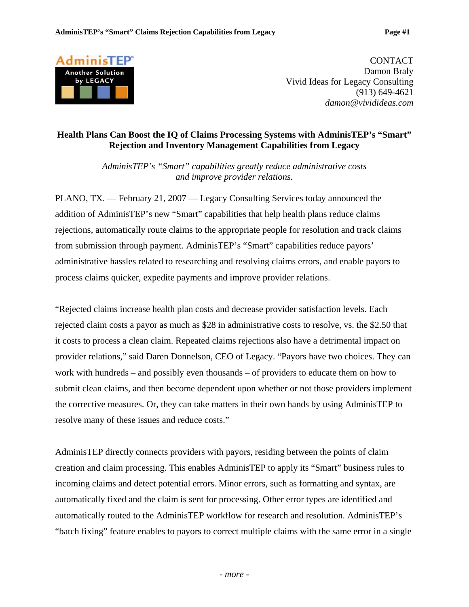

CONTACT Damon Braly Vivid Ideas for Legacy Consulting (913) 649-4621 *damon@vividideas.com* 

## **Health Plans Can Boost the IQ of Claims Processing Systems with AdminisTEP's "Smart" Rejection and Inventory Management Capabilities from Legacy**

*AdminisTEP's "Smart" capabilities greatly reduce administrative costs and improve provider relations.* 

PLANO, TX. — February 21, 2007 — Legacy Consulting Services today announced the addition of AdminisTEP's new "Smart" capabilities that help health plans reduce claims rejections, automatically route claims to the appropriate people for resolution and track claims from submission through payment. AdminisTEP's "Smart" capabilities reduce payors' administrative hassles related to researching and resolving claims errors, and enable payors to process claims quicker, expedite payments and improve provider relations.

"Rejected claims increase health plan costs and decrease provider satisfaction levels. Each rejected claim costs a payor as much as \$28 in administrative costs to resolve, vs. the \$2.50 that it costs to process a clean claim. Repeated claims rejections also have a detrimental impact on provider relations," said Daren Donnelson, CEO of Legacy. "Payors have two choices. They can work with hundreds – and possibly even thousands – of providers to educate them on how to submit clean claims, and then become dependent upon whether or not those providers implement the corrective measures. Or, they can take matters in their own hands by using AdminisTEP to resolve many of these issues and reduce costs."

AdminisTEP directly connects providers with payors, residing between the points of claim creation and claim processing. This enables AdminisTEP to apply its "Smart" business rules to incoming claims and detect potential errors. Minor errors, such as formatting and syntax, are automatically fixed and the claim is sent for processing. Other error types are identified and automatically routed to the AdminisTEP workflow for research and resolution. AdminisTEP's "batch fixing" feature enables to payors to correct multiple claims with the same error in a single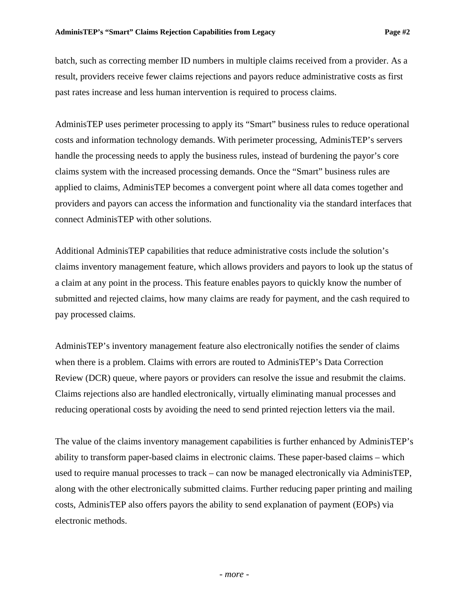batch, such as correcting member ID numbers in multiple claims received from a provider. As a result, providers receive fewer claims rejections and payors reduce administrative costs as first past rates increase and less human intervention is required to process claims.

AdminisTEP uses perimeter processing to apply its "Smart" business rules to reduce operational costs and information technology demands. With perimeter processing, AdminisTEP's servers handle the processing needs to apply the business rules, instead of burdening the payor's core claims system with the increased processing demands. Once the "Smart" business rules are applied to claims, AdminisTEP becomes a convergent point where all data comes together and providers and payors can access the information and functionality via the standard interfaces that connect AdminisTEP with other solutions.

Additional AdminisTEP capabilities that reduce administrative costs include the solution's claims inventory management feature, which allows providers and payors to look up the status of a claim at any point in the process. This feature enables payors to quickly know the number of submitted and rejected claims, how many claims are ready for payment, and the cash required to pay processed claims.

AdminisTEP's inventory management feature also electronically notifies the sender of claims when there is a problem. Claims with errors are routed to AdminisTEP's Data Correction Review (DCR) queue, where payors or providers can resolve the issue and resubmit the claims. Claims rejections also are handled electronically, virtually eliminating manual processes and reducing operational costs by avoiding the need to send printed rejection letters via the mail.

The value of the claims inventory management capabilities is further enhanced by AdminisTEP's ability to transform paper-based claims in electronic claims. These paper-based claims – which used to require manual processes to track – can now be managed electronically via AdminisTEP, along with the other electronically submitted claims. Further reducing paper printing and mailing costs, AdminisTEP also offers payors the ability to send explanation of payment (EOPs) via electronic methods.